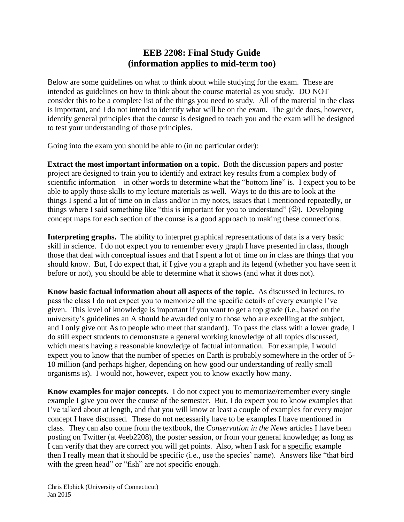## **EEB 2208: Final Study Guide (information applies to mid-term too)**

Below are some guidelines on what to think about while studying for the exam. These are intended as guidelines on how to think about the course material as you study. DO NOT consider this to be a complete list of the things you need to study. All of the material in the class is important, and I do not intend to identify what will be on the exam. The guide does, however, identify general principles that the course is designed to teach you and the exam will be designed to test your understanding of those principles.

Going into the exam you should be able to (in no particular order):

**Extract the most important information on a topic.** Both the discussion papers and poster project are designed to train you to identify and extract key results from a complex body of scientific information – in other words to determine what the "bottom line" is. I expect you to be able to apply those skills to my lecture materials as well. Ways to do this are to look at the things I spend a lot of time on in class and/or in my notes, issues that I mentioned repeatedly, or things where I said something like "this is important for you to understand"  $(\odot)$ . Developing concept maps for each section of the course is a good approach to making these connections.

**Interpreting graphs.** The ability to interpret graphical representations of data is a very basic skill in science. I do not expect you to remember every graph I have presented in class, though those that deal with conceptual issues and that I spent a lot of time on in class are things that you should know. But, I do expect that, if I give you a graph and its legend (whether you have seen it before or not), you should be able to determine what it shows (and what it does not).

**Know basic factual information about all aspects of the topic.** As discussed in lectures, to pass the class I do not expect you to memorize all the specific details of every example I've given. This level of knowledge is important if you want to get a top grade (i.e., based on the university's guidelines an A should be awarded only to those who are excelling at the subject, and I only give out As to people who meet that standard). To pass the class with a lower grade, I do still expect students to demonstrate a general working knowledge of all topics discussed, which means having a reasonable knowledge of factual information. For example, I would expect you to know that the number of species on Earth is probably somewhere in the order of 5- 10 million (and perhaps higher, depending on how good our understanding of really small organisms is). I would not, however, expect you to know exactly how many.

**Know examples for major concepts.** I do not expect you to memorize/remember every single example I give you over the course of the semester. But, I do expect you to know examples that I've talked about at length, and that you will know at least a couple of examples for every major concept I have discussed. These do not necessarily have to be examples I have mentioned in class. They can also come from the textbook, the *Conservation in the News* articles I have been posting on Twitter (at #eeb2208), the poster session, or from your general knowledge; as long as I can verify that they are correct you will get points. Also, when I ask for a specific example then I really mean that it should be specific (i.e., use the species' name). Answers like "that bird with the green head" or "fish" are not specific enough.